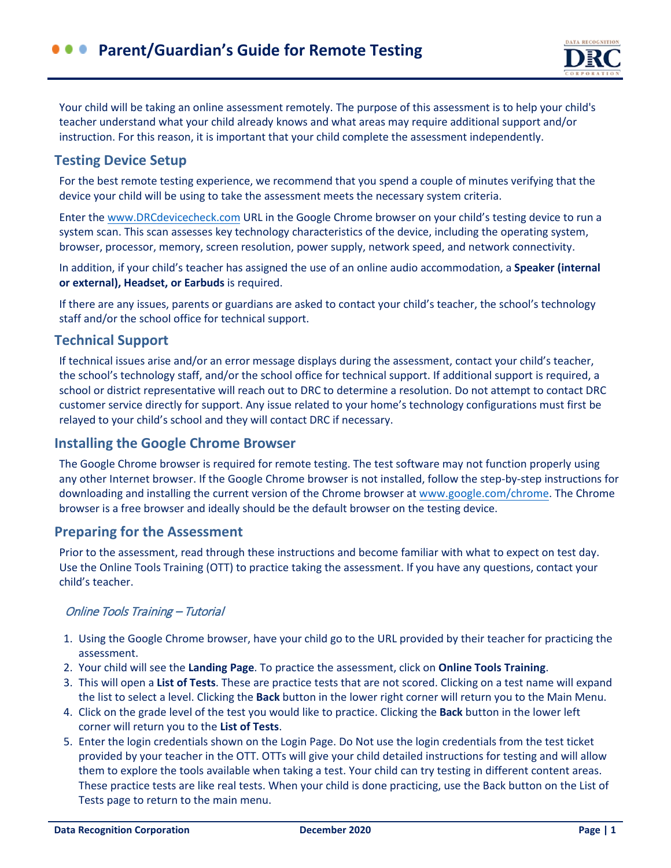Your child will be taking an online assessment remotely. The purpose of this assessment is to help your child's teacher understand what your child already knows and what areas may require additional support and/or instruction. For this reason, it is important that your child complete the assessment independently.

# **Testing Device Setup**

For the best remote testing experience, we recommend that you spend a couple of minutes verifying that the device your child will be using to take the assessment meets the necessary system criteria.

Enter the [www.DRCdevicecheck.com](http://www.drcdevicecheck.com/) URL in the Google Chrome browser on your child's testing device to run a system scan. This scan assesses key technology characteristics of the device, including the operating system, browser, processor, memory, screen resolution, power supply, network speed, and network connectivity.

In addition, if your child's teacher has assigned the use of an online audio accommodation, a **Speaker (internal or external), Headset, or Earbuds** is required.

If there are any issues, parents or guardians are asked to contact your child's teacher, the school's technology staff and/or the school office for technical support.

# **Technical Support**

If technical issues arise and/or an error message displays during the assessment, contact your child's teacher, the school's technology staff, and/or the school office for technical support. If additional support is required, a school or district representative will reach out to DRC to determine a resolution. Do not attempt to contact DRC customer service directly for support. Any issue related to your home's technology configurations must first be relayed to your child's school and they will contact DRC if necessary.

## **Installing the Google Chrome Browser**

The Google Chrome browser is required for remote testing. The test software may not function properly using any other Internet browser. If the Google Chrome browser is not installed, follow the step-by-step instructions for downloading and installing the current version of the Chrome browser at [www.google.com/chrome.](https://www.google.com/chrome/) The Chrome browser is a free browser and ideally should be the default browser on the testing device.

## **Preparing for the Assessment**

Prior to the assessment, read through these instructions and become familiar with what to expect on test day. Use the Online Tools Training (OTT) to practice taking the assessment. If you have any questions, contact your child's teacher.

### Online Tools Training – Tutorial

- 1. Using the Google Chrome browser, have your child go to the URL provided by their teacher for practicing the assessment.
- 2. Your child will see the **Landing Page**. To practice the assessment, click on **Online Tools Training**.
- 3. This will open a **List of Tests**. These are practice tests that are not scored. Clicking on a test name will expand the list to select a level. Clicking the **Back** button in the lower right corner will return you to the Main Menu.
- 4. Click on the grade level of the test you would like to practice. Clicking the **Back** button in the lower left corner will return you to the **List of Tests**.
- 5. Enter the login credentials shown on the Login Page. Do Not use the login credentials from the test ticket provided by your teacher in the OTT. OTTs will give your child detailed instructions for testing and will allow them to explore the tools available when taking a test. Your child can try testing in different content areas. These practice tests are like real tests. When your child is done practicing, use the Back button on the List of Tests page to return to the main menu.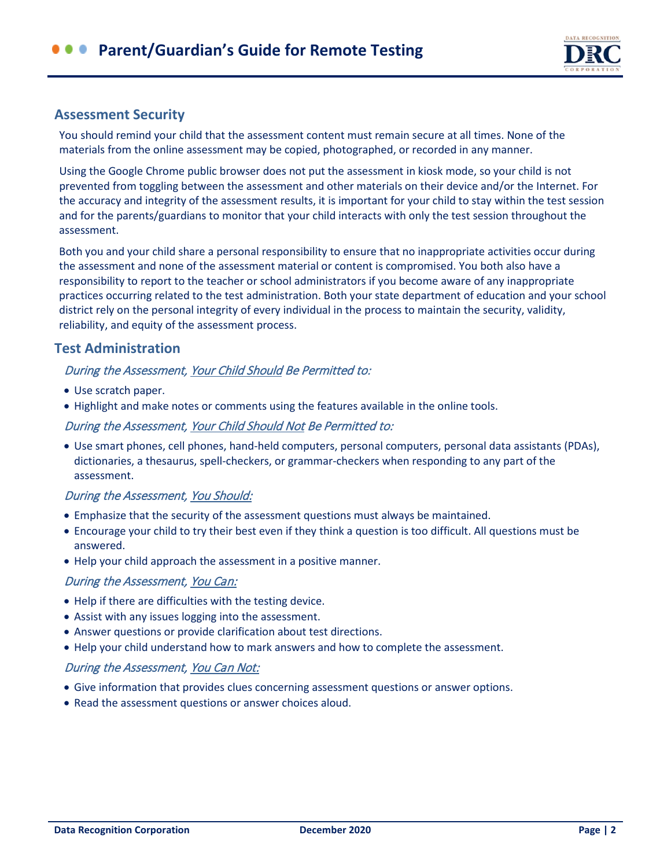

## **Assessment Security**

You should remind your child that the assessment content must remain secure at all times. None of the materials from the online assessment may be copied, photographed, or recorded in any manner.

Using the Google Chrome public browser does not put the assessment in kiosk mode, so your child is not prevented from toggling between the assessment and other materials on their device and/or the Internet. For the accuracy and integrity of the assessment results, it is important for your child to stay within the test session and for the parents/guardians to monitor that your child interacts with only the test session throughout the assessment.

Both you and your child share a personal responsibility to ensure that no inappropriate activities occur during the assessment and none of the assessment material or content is compromised. You both also have a responsibility to report to the teacher or school administrators if you become aware of any inappropriate practices occurring related to the test administration. Both your state department of education and your school district rely on the personal integrity of every individual in the process to maintain the security, validity, reliability, and equity of the assessment process.

# **Test Administration**

### During the Assessment, Your Child Should Be Permitted to:

- Use scratch paper.
- Highlight and make notes or comments using the features available in the online tools.

### During the Assessment, Your Child Should Not Be Permitted to:

• Use smart phones, cell phones, hand-held computers, personal computers, personal data assistants (PDAs), dictionaries, a thesaurus, spell-checkers, or grammar-checkers when responding to any part of the assessment.

### During the Assessment, You Should:

- Emphasize that the security of the assessment questions must always be maintained.
- Encourage your child to try their best even if they think a question is too difficult. All questions must be answered.
- Help your child approach the assessment in a positive manner.

#### During the Assessment, You Can:

- Help if there are difficulties with the testing device.
- Assist with any issues logging into the assessment.
- Answer questions or provide clarification about test directions.
- Help your child understand how to mark answers and how to complete the assessment.

#### During the Assessment, You Can Not:

- Give information that provides clues concerning assessment questions or answer options.
- Read the assessment questions or answer choices aloud.